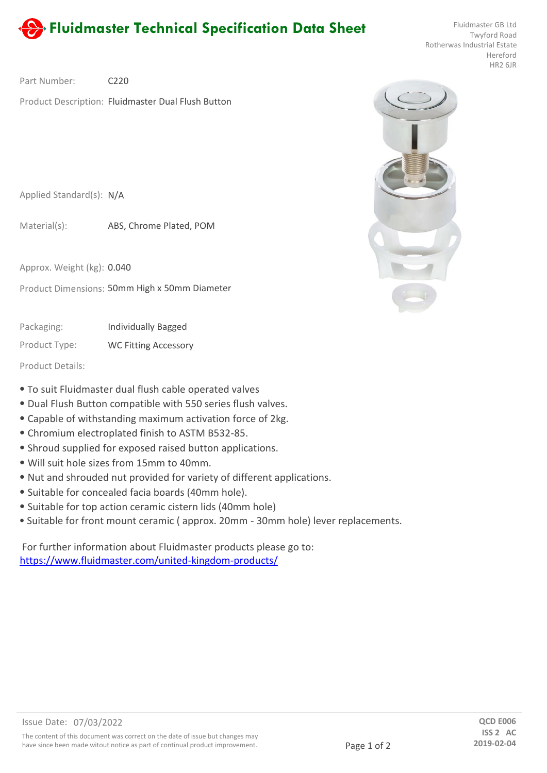## **Fluidmaster Technical Specification Data Sheet** Fluidmaster GB Ltd **Fluidmaster GB Ltd**

Twyford Road Rotherwas Industrial Estate Hereford HR2 6JR

 $C220$ Part Number:

Product Description: Fluidmaster Dual Flush Button

Applied Standard(s): N/A

ABS, Chrome Plated, POM Material(s):

Approx. Weight (kg): 0.040

Product Dimensions: 50mm High x 50mm Diameter

Individually Bagged Packaging:

Product Type: WC Fitting Accessory

Product Details:

- ⦁ To suit Fluidmaster dual flush cable operated valves
- ⦁ Dual Flush Button compatible with 550 series flush valves.
- ⦁ Capable of withstanding maximum activation force of 2kg.
- ⦁ Chromium electroplated finish to ASTM B532-85.
- ⦁ Shroud supplied for exposed raised button applications.
- ⦁ Will suit hole sizes from 15mm to 40mm.
- ⦁ Nut and shrouded nut provided for variety of different applications.
- ⦁ Suitable for concealed facia boards (40mm hole).
- ⦁ Suitable for top action ceramic cistern lids (40mm hole)
- ⦁ Suitable for front mount ceramic ( approx. 20mm 30mm hole) lever replacements.

For further information about Fluidmaster products please go to: https://www.fluidmaster.com/united-kingdom-products/